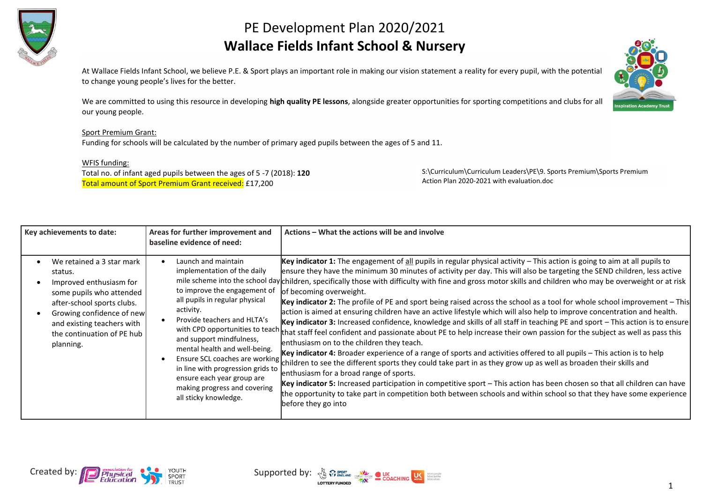

## PE Development Plan 2020/2021 **Wallace Fields Infant School & Nursery**

At Wallace Fields Infant School, we believe P.E. & Sport plays an important role in making our vision statement a reality for every pupil, with the potential to change young people's lives for the better.

We are committed to using this resource in developing **high quality PE lessons**, alongside greater opportunities for sporting competitions and clubs for all our young people.

## Sport Premium Grant:

Funding for schools will be calculated by the number of primary aged pupils between the ages of 5 and 11.

## WFIS funding:

Total no. of infant aged pupils between the ages of 5 -7 (2018): **120** Total amount of Sport Premium Grant received: £17,200

S:\Curriculum\Curriculum Leaders\PE\9. Sports Premium\Sports Premium Action Plan 2020-2021 with evaluation.doc

| Key achievements to date:                                                                                                                                                                                                       | Areas for further improvement and<br>baseline evidence of need:                                                                                                                                                                                                                                                                                           | Actions – What the actions will be and involve                                                                                                                                                                                                                                                                                                                                                                                                                                                                                                                                                                                                                                                                                                                                                                                                                                                                                                                                                                                                                                                                                                                                                                                                                                                                                                                                                                                                                                                                                                                                                                                                           |
|---------------------------------------------------------------------------------------------------------------------------------------------------------------------------------------------------------------------------------|-----------------------------------------------------------------------------------------------------------------------------------------------------------------------------------------------------------------------------------------------------------------------------------------------------------------------------------------------------------|----------------------------------------------------------------------------------------------------------------------------------------------------------------------------------------------------------------------------------------------------------------------------------------------------------------------------------------------------------------------------------------------------------------------------------------------------------------------------------------------------------------------------------------------------------------------------------------------------------------------------------------------------------------------------------------------------------------------------------------------------------------------------------------------------------------------------------------------------------------------------------------------------------------------------------------------------------------------------------------------------------------------------------------------------------------------------------------------------------------------------------------------------------------------------------------------------------------------------------------------------------------------------------------------------------------------------------------------------------------------------------------------------------------------------------------------------------------------------------------------------------------------------------------------------------------------------------------------------------------------------------------------------------|
| We retained a 3 star mark<br>status.<br>Improved enthusiasm for<br>some pupils who attended<br>after-school sports clubs.<br>Growing confidence of new<br>and existing teachers with<br>the continuation of PE hub<br>planning. | Launch and maintain<br>implementation of the daily<br>to improve the engagement of<br>all pupils in regular physical<br>activity.<br>Provide teachers and HLTA's<br>and support mindfulness,<br>mental health and well-being.<br>in line with progression grids to<br>ensure each year group are<br>making progress and covering<br>all sticky knowledge. | Key indicator 1: The engagement of all pupils in regular physical activity $-$ This action is going to aim at all pupils to<br>ensure they have the minimum 30 minutes of activity per day. This will also be targeting the SEND children, less active<br>mile scheme into the school day children, specifically those with difficulty with fine and gross motor skills and children who may be overweight or at risk<br>of becoming overweight.<br>Key indicator 2: The profile of PE and sport being raised across the school as a tool for whole school improvement – This<br>action is aimed at ensuring children have an active lifestyle which will also help to improve concentration and health.<br>Key indicator 3: Increased confidence, knowledge and skills of all staff in teaching PE and sport $-$ This action is to ensure<br>with CPD opportunities to teach that staff feel confident and passionate about PE to help increase their own passion for the subject as well as pass this<br>enthusiasm on to the children they teach.<br>Key indicator 4: Broader experience of a range of sports and activities offered to all pupils - This action is to help<br>Ensure SCL coaches are working children to see the different sports they could take part in as they grow up as well as broaden their skills and<br>enthusiasm for a broad range of sports.<br>Key indicator 5: Increased participation in competitive sport - This action has been chosen so that all children can have<br>the opportunity to take part in competition both between schools and within school so that they have some experience<br>before they go into |



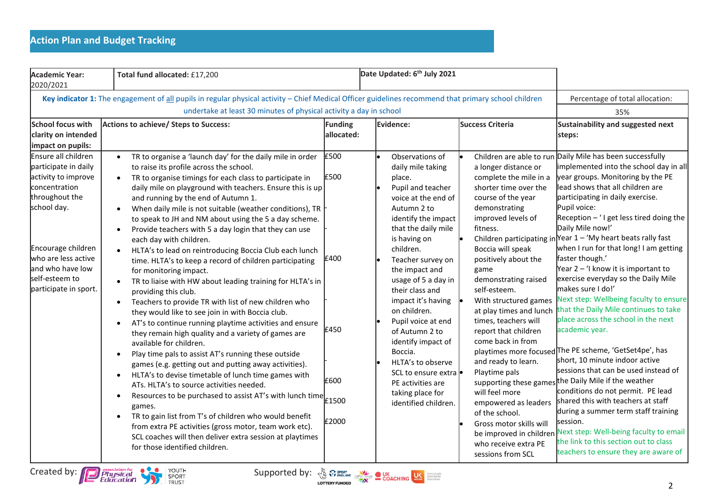| <b>Academic Year:</b><br>2020/2021                                                                                                                                                                                                                                                                 | Total fund allocated: £17,200                                                                                                                                                                                                                                                                                                                                                                                                                                                                                                                                                                                                                                                                                                                                                                                                                                                                                                                                                                                                                                                                                                                                                                                                                                                                                                                                                                                                                                                                                                                                                                                                                    | Date Updated: 6 <sup>th</sup> July 2021                       |                                                                                                                                                                                                                                                                                                                                                                                                                                                                                        |                                                                                                                                                                                                                                                                                                                                                                                                                                                             |                                                                                                                                                                                                                                                                                                                                                                                                                                                                                                                                                                                                                                                                                                                                                                                                                                                                                                                                                                                                              |
|----------------------------------------------------------------------------------------------------------------------------------------------------------------------------------------------------------------------------------------------------------------------------------------------------|--------------------------------------------------------------------------------------------------------------------------------------------------------------------------------------------------------------------------------------------------------------------------------------------------------------------------------------------------------------------------------------------------------------------------------------------------------------------------------------------------------------------------------------------------------------------------------------------------------------------------------------------------------------------------------------------------------------------------------------------------------------------------------------------------------------------------------------------------------------------------------------------------------------------------------------------------------------------------------------------------------------------------------------------------------------------------------------------------------------------------------------------------------------------------------------------------------------------------------------------------------------------------------------------------------------------------------------------------------------------------------------------------------------------------------------------------------------------------------------------------------------------------------------------------------------------------------------------------------------------------------------------------|---------------------------------------------------------------|----------------------------------------------------------------------------------------------------------------------------------------------------------------------------------------------------------------------------------------------------------------------------------------------------------------------------------------------------------------------------------------------------------------------------------------------------------------------------------------|-------------------------------------------------------------------------------------------------------------------------------------------------------------------------------------------------------------------------------------------------------------------------------------------------------------------------------------------------------------------------------------------------------------------------------------------------------------|--------------------------------------------------------------------------------------------------------------------------------------------------------------------------------------------------------------------------------------------------------------------------------------------------------------------------------------------------------------------------------------------------------------------------------------------------------------------------------------------------------------------------------------------------------------------------------------------------------------------------------------------------------------------------------------------------------------------------------------------------------------------------------------------------------------------------------------------------------------------------------------------------------------------------------------------------------------------------------------------------------------|
| School focus with<br>clarity on intended<br>impact on pupils:<br>Ensure all children<br>participate in daily<br>activity to improve<br>concentration<br>throughout the<br>school day.<br>Encourage children<br>who are less active<br>land who have low<br>self-esteem to<br>participate in sport. | Key indicator 1: The engagement of all pupils in regular physical activity - Chief Medical Officer guidelines recommend that primary school children<br>undertake at least 30 minutes of physical activity a day in school<br>Actions to achieve/ Steps to Success:<br>TR to organise a 'launch day' for the daily mile in order<br>to raise its profile across the school.<br>TR to organise timings for each class to participate in<br>$\bullet$<br>daily mile on playground with teachers. Ensure this is up<br>and running by the end of Autumn 1.<br>When daily mile is not suitable (weather conditions), TR $\vdash$<br>$\bullet$<br>to speak to JH and NM about using the 5 a day scheme.<br>Provide teachers with 5 a day login that they can use<br>$\bullet$<br>each day with children.<br>HLTA's to lead on reintroducing Boccia Club each lunch<br>time. HLTA's to keep a record of children participating<br>for monitoring impact.<br>TR to liaise with HW about leading training for HLTA's in<br>providing this club.<br>Teachers to provide TR with list of new children who<br>$\bullet$<br>they would like to see join in with Boccia club.<br>AT's to continue running playtime activities and ensure<br>$\bullet$<br>they remain high quality and a variety of games are<br>available for children.<br>Play time pals to assist AT's running these outside<br>$\bullet$<br>games (e.g. getting out and putting away activities).<br>HLTA's to devise timetable of lunch time games with<br>$\bullet$<br>ATs. HLTA's to source activities needed.<br>Resources to be purchased to assist AT's with lunch time<br>$\bullet$ | Funding<br>allocated:<br>£500<br>£500<br>£400<br>£450<br>£600 | Evidence:<br>Observations of<br>daily mile taking<br>place.<br>Pupil and teacher<br>voice at the end of<br>Autumn 2 to<br>identify the impact<br>that the daily mile<br>is having on<br>children.<br>Teacher survey on<br>the impact and<br>usage of 5 a day in<br>their class and<br>impact it's having<br>on children.<br>Pupil voice at end<br>of Autumn 2 to<br>identify impact of<br>Boccia.<br>HLTA's to observe<br>SCL to ensure extra<br>PE activities are<br>taking place for | <b>Success Criteria</b><br>a longer distance or<br>complete the mile in a<br>shorter time over the<br>course of the year<br>demonstrating<br>improved levels of<br>fitness.<br>Boccia will speak<br>positively about the<br>game<br>demonstrating raised<br>self-esteem.<br>With structured games<br>at play times and lunch<br>times, teachers will<br>report that children<br>come back in from<br>and ready to learn.<br>Playtime pals<br>will feel more | Percentage of total allocation:<br>35%<br>Sustainability and suggested next<br>steps:<br>Children are able to run Daily Mile has been successfully<br>implemented into the school day in all<br>year groups. Monitoring by the PE<br>lead shows that all children are<br>participating in daily exercise.<br>Pupil voice:<br>Reception $-$ ' I get less tired doing the<br>Daily Mile now!'<br>Children participating in Year $1 - 'My$ heart beats rally fast<br>when I run for that long! I am getting<br>faster though.'<br>Year $2 - 1$ know it is important to<br>exercise everyday so the Daily Mile<br>makes sure I do!'<br>Next step: Wellbeing faculty to ensure<br>that the Daily Mile continues to take<br>place across the school in the next<br>academic year.<br>playtimes more focused The PE scheme, 'GetSet4pe', has<br>short, 10 minute indoor active<br>sessions that can be used instead of<br>supporting these games the Daily Mile if the weather<br>conditions do not permit. PE lead |
|                                                                                                                                                                                                                                                                                                    | games.<br>TR to gain list from T's of children who would benefit<br>$\bullet$<br>from extra PE activities (gross motor, team work etc).<br>SCL coaches will then deliver extra session at playtimes<br>for those identified children.                                                                                                                                                                                                                                                                                                                                                                                                                                                                                                                                                                                                                                                                                                                                                                                                                                                                                                                                                                                                                                                                                                                                                                                                                                                                                                                                                                                                            | £2000                                                         | identified children.                                                                                                                                                                                                                                                                                                                                                                                                                                                                   | empowered as leaders<br>of the school.<br>Gross motor skills will<br>be improved in childrer<br>who receive extra PE<br>sessions from SCL                                                                                                                                                                                                                                                                                                                   | shared this with teachers at staff<br>during a summer term staff training<br>session.<br>Next step: Well-being faculty to email<br>the link to this section out to class<br>teachers to ensure they are aware of                                                                                                                                                                                                                                                                                                                                                                                                                                                                                                                                                                                                                                                                                                                                                                                             |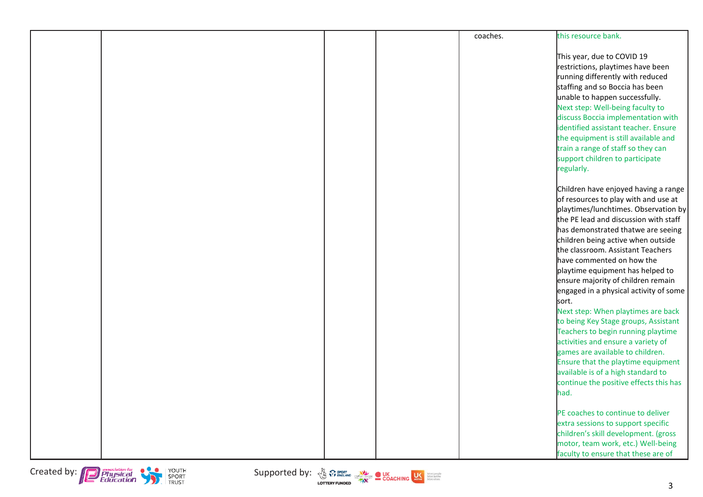|  |  | coaches. | this resource bank.                                                                                                                                                                                                                                                                                                                                                                                                                                                                                                                                                                                                                    |
|--|--|----------|----------------------------------------------------------------------------------------------------------------------------------------------------------------------------------------------------------------------------------------------------------------------------------------------------------------------------------------------------------------------------------------------------------------------------------------------------------------------------------------------------------------------------------------------------------------------------------------------------------------------------------------|
|  |  |          | This year, due to COVID 19<br>restrictions, playtimes have been<br>running differently with reduced<br>staffing and so Boccia has been<br>unable to happen successfully.<br>Next step: Well-being faculty to<br>discuss Boccia implementation with<br>identified assistant teacher. Ensure<br>the equipment is still available and<br>train a range of staff so they can                                                                                                                                                                                                                                                               |
|  |  |          | support children to participate<br>regularly.                                                                                                                                                                                                                                                                                                                                                                                                                                                                                                                                                                                          |
|  |  |          | Children have enjoyed having a range<br>of resources to play with and use at<br>playtimes/lunchtimes. Observation by<br>the PE lead and discussion with staff<br>has demonstrated thatwe are seeing<br>children being active when outside<br>the classroom. Assistant Teachers<br>have commented on how the<br>playtime equipment has helped to<br>ensure majority of children remain<br>engaged in a physical activity of some<br>sort.<br>Next step: When playtimes are back<br>to being Key Stage groups, Assistant<br>Teachers to begin running playtime<br>activities and ensure a variety of<br>games are available to children. |
|  |  |          | Ensure that the playtime equipment<br>available is of a high standard to<br>continue the positive effects this has<br>had.                                                                                                                                                                                                                                                                                                                                                                                                                                                                                                             |
|  |  |          | PE coaches to continue to deliver<br>extra sessions to support specific<br>children's skill development. (gross<br>motor, team work, etc.) Well-being<br>faculty to ensure that these are of                                                                                                                                                                                                                                                                                                                                                                                                                                           |

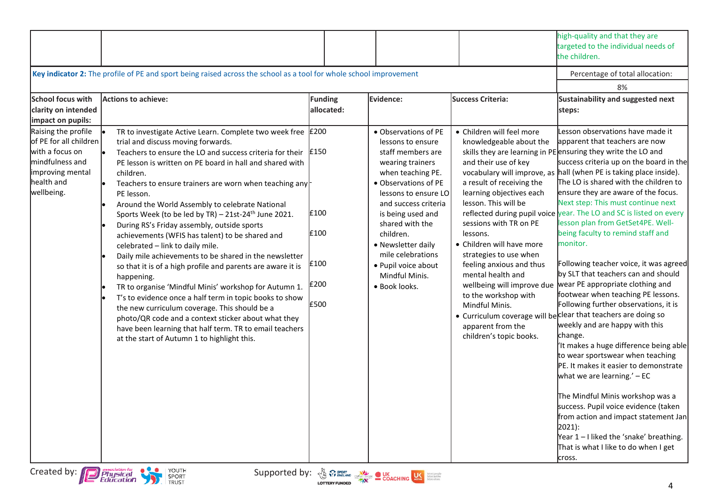|                                                                                                                                     |                                                                                                                                                                                                                                                                                                                                                                                                                                                                                                                                                                                                                                                                                                                                                                                                                                                                                                                                                                                                                                                                              |                                      |                                                                                                                                                                                                                                                                                                                                           |                                                                                                                                                                                                                                                                                                                                                                                                                                     | high-quality and that they are<br>targeted to the individual needs of<br>the children.                                                                                                                                                                                                                                                                                                                                                                                                                                                                                                                                                                                                                                                                                                                                                                                                                                                                                                                                                                                                                                                                                                                                                     |
|-------------------------------------------------------------------------------------------------------------------------------------|------------------------------------------------------------------------------------------------------------------------------------------------------------------------------------------------------------------------------------------------------------------------------------------------------------------------------------------------------------------------------------------------------------------------------------------------------------------------------------------------------------------------------------------------------------------------------------------------------------------------------------------------------------------------------------------------------------------------------------------------------------------------------------------------------------------------------------------------------------------------------------------------------------------------------------------------------------------------------------------------------------------------------------------------------------------------------|--------------------------------------|-------------------------------------------------------------------------------------------------------------------------------------------------------------------------------------------------------------------------------------------------------------------------------------------------------------------------------------------|-------------------------------------------------------------------------------------------------------------------------------------------------------------------------------------------------------------------------------------------------------------------------------------------------------------------------------------------------------------------------------------------------------------------------------------|--------------------------------------------------------------------------------------------------------------------------------------------------------------------------------------------------------------------------------------------------------------------------------------------------------------------------------------------------------------------------------------------------------------------------------------------------------------------------------------------------------------------------------------------------------------------------------------------------------------------------------------------------------------------------------------------------------------------------------------------------------------------------------------------------------------------------------------------------------------------------------------------------------------------------------------------------------------------------------------------------------------------------------------------------------------------------------------------------------------------------------------------------------------------------------------------------------------------------------------------|
|                                                                                                                                     | Key indicator 2: The profile of PE and sport being raised across the school as a tool for whole school improvement                                                                                                                                                                                                                                                                                                                                                                                                                                                                                                                                                                                                                                                                                                                                                                                                                                                                                                                                                           |                                      |                                                                                                                                                                                                                                                                                                                                           |                                                                                                                                                                                                                                                                                                                                                                                                                                     | Percentage of total allocation:                                                                                                                                                                                                                                                                                                                                                                                                                                                                                                                                                                                                                                                                                                                                                                                                                                                                                                                                                                                                                                                                                                                                                                                                            |
|                                                                                                                                     |                                                                                                                                                                                                                                                                                                                                                                                                                                                                                                                                                                                                                                                                                                                                                                                                                                                                                                                                                                                                                                                                              |                                      |                                                                                                                                                                                                                                                                                                                                           |                                                                                                                                                                                                                                                                                                                                                                                                                                     | 8%                                                                                                                                                                                                                                                                                                                                                                                                                                                                                                                                                                                                                                                                                                                                                                                                                                                                                                                                                                                                                                                                                                                                                                                                                                         |
| <b>School focus with</b><br>clarity on intended<br>impact on pupils:                                                                | Actions to achieve:                                                                                                                                                                                                                                                                                                                                                                                                                                                                                                                                                                                                                                                                                                                                                                                                                                                                                                                                                                                                                                                          | <b>Funding</b><br>allocated:         | <b>Evidence:</b>                                                                                                                                                                                                                                                                                                                          | <b>Success Criteria:</b>                                                                                                                                                                                                                                                                                                                                                                                                            | <b>Sustainability and suggested next</b><br>steps:                                                                                                                                                                                                                                                                                                                                                                                                                                                                                                                                                                                                                                                                                                                                                                                                                                                                                                                                                                                                                                                                                                                                                                                         |
| Raising the profile<br>of PE for all children<br>with a focus on<br>mindfulness and<br>improving mental<br>health and<br>wellbeing. | TR to investigate Active Learn. Complete two week free £200<br>trial and discuss moving forwards.<br>Teachers to ensure the LO and success criteria for their $\vert$ £150<br>le.<br>PE lesson is written on PE board in hall and shared with<br>children.<br>Teachers to ensure trainers are worn when teaching any<br>PE lesson.<br>Around the World Assembly to celebrate National<br>Sports Week (to be led by TR) - 21st-24 <sup>th</sup> June 2021.<br>During RS's Friday assembly, outside sports<br>achievements (WFIS has talent) to be shared and<br>celebrated - link to daily mile.<br>Daily mile achievements to be shared in the newsletter<br>so that it is of a high profile and parents are aware it is<br>happening.<br>TR to organise 'Mindful Minis' workshop for Autumn 1.<br>T's to evidence once a half term in topic books to show<br>the new curriculum coverage. This should be a<br>photo/QR code and a context sticker about what they<br>have been learning that half term. TR to email teachers<br>at the start of Autumn 1 to highlight this. | £100<br>£100<br>£100<br>£200<br>£500 | • Observations of PE<br>lessons to ensure<br>staff members are<br>wearing trainers<br>when teaching PE.<br>• Observations of PE<br>lessons to ensure LO<br>and success criteria<br>is being used and<br>shared with the<br>children.<br>• Newsletter daily<br>mile celebrations<br>· Pupil voice about<br>Mindful Minis.<br>· Book looks. | • Children will feel more<br>knowledgeable about the<br>and their use of key<br>a result of receiving the<br>learning objectives each<br>lesson. This will be<br>sessions with TR on PE<br>lessons.<br>• Children will have more<br>strategies to use when<br>feeling anxious and thus<br>mental health and<br>wellbeing will improve due<br>to the workshop with<br>Mindful Minis.<br>apparent from the<br>children's topic books. | Lesson observations have made it<br>apparent that teachers are now<br>skills they are learning in PE ensuring they write the LO and<br>success criteria up on the board in the<br>vocabulary will improve, as hall (when PE is taking place inside).<br>The LO is shared with the children to<br>ensure they are aware of the focus.<br>Next step: This must continue next<br>reflected during pupil voice year. The LO and SC is listed on every<br>lesson plan from GetSet4PE. Well-<br>being faculty to remind staff and<br>monitor.<br>Following teacher voice, it was agreed<br>by SLT that teachers can and should<br>wear PE appropriate clothing and<br>footwear when teaching PE lessons.<br>Following further observations, it is<br>• Curriculum coverage will be clear that teachers are doing so<br>weekly and are happy with this<br>change.<br>'It makes a huge difference being able<br>to wear sportswear when teaching<br>PE. It makes it easier to demonstrate<br>what we are learning.' $-EC$<br>The Mindful Minis workshop was a<br>success. Pupil voice evidence (taken<br>from action and impact statement Jan<br>2021):<br>Year 1-I liked the 'snake' breathing.<br>That is what I like to do when I get<br>cross. |

4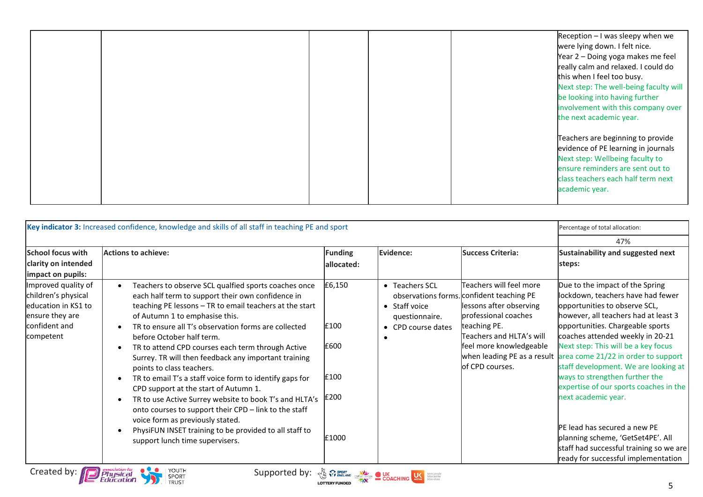|  |  | Reception $-1$ was sleepy when we<br>were lying down. I felt nice.<br>Year 2 - Doing yoga makes me feel<br>really calm and relaxed. I could do<br>this when I feel too busy.<br>Next step: The well-being faculty will<br>be looking into having further<br>involvement with this company over<br>the next academic year. |
|--|--|---------------------------------------------------------------------------------------------------------------------------------------------------------------------------------------------------------------------------------------------------------------------------------------------------------------------------|
|  |  | Teachers are beginning to provide<br>evidence of PE learning in journals<br>Next step: Wellbeing faculty to<br>ensure reminders are sent out to<br>class teachers each half term next<br>academic year.                                                                                                                   |

| Key indicator 3: Increased confidence, knowledge and skills of all staff in teaching PE and sport                   | Percentage of total allocation:                                                                                                                                                                                                                                                                                                                                                                                                                                                                                                                                                                                                                                                                                                                                                               |                                                 |                                                                         |                                                                                                                                                                                                                   |                                                                                                                                                                                                                                                                                                                                                                                                                                                                                                                                                                                                                                    |
|---------------------------------------------------------------------------------------------------------------------|-----------------------------------------------------------------------------------------------------------------------------------------------------------------------------------------------------------------------------------------------------------------------------------------------------------------------------------------------------------------------------------------------------------------------------------------------------------------------------------------------------------------------------------------------------------------------------------------------------------------------------------------------------------------------------------------------------------------------------------------------------------------------------------------------|-------------------------------------------------|-------------------------------------------------------------------------|-------------------------------------------------------------------------------------------------------------------------------------------------------------------------------------------------------------------|------------------------------------------------------------------------------------------------------------------------------------------------------------------------------------------------------------------------------------------------------------------------------------------------------------------------------------------------------------------------------------------------------------------------------------------------------------------------------------------------------------------------------------------------------------------------------------------------------------------------------------|
|                                                                                                                     | 47%                                                                                                                                                                                                                                                                                                                                                                                                                                                                                                                                                                                                                                                                                                                                                                                           |                                                 |                                                                         |                                                                                                                                                                                                                   |                                                                                                                                                                                                                                                                                                                                                                                                                                                                                                                                                                                                                                    |
| <b>School focus with</b><br>clarity on intended<br>impact on pupils:                                                | <b>Actions to achieve:</b>                                                                                                                                                                                                                                                                                                                                                                                                                                                                                                                                                                                                                                                                                                                                                                    | Funding<br>allocated:                           | <b>Evidence:</b>                                                        | <b>Success Criteria:</b>                                                                                                                                                                                          | Sustainability and suggested next<br>steps:                                                                                                                                                                                                                                                                                                                                                                                                                                                                                                                                                                                        |
| Improved quality of<br>children's physical<br>leducation in KS1 to<br>ensure they are<br>confident and<br>competent | Teachers to observe SCL qualfied sports coaches once<br>each half term to support their own confidence in<br>teaching PE lessons - TR to email teachers at the start<br>of Autumn 1 to emphasise this.<br>TR to ensure all T's observation forms are collected<br>before October half term.<br>TR to attend CPD courses each term through Active<br>Surrey. TR will then feedback any important training<br>points to class teachers.<br>TR to email T's a staff voice form to identify gaps for<br>CPD support at the start of Autumn 1.<br>TR to use Active Surrey website to book T's and HLTA's<br>onto courses to support their CPD - link to the staff<br>voice form as previously stated.<br>PhysiFUN INSET training to be provided to all staff to<br>support lunch time supervisers. | £6,150<br>£100<br>£600<br>£100<br>£200<br>£1000 | • Teachers SCL<br>• Staff voice<br>questionnaire.<br>• CPD course dates | Teachers will feel more<br>observations forms. confident teaching PE<br>lessons after observing<br>professional coaches<br>teaching PE.<br>Teachers and HLTA's will<br>feel more knowledgeable<br>of CPD courses. | Due to the impact of the Spring<br>lockdown, teachers have had fewer<br>opportunities to observe SCL,<br>however, all teachers had at least 3<br>opportunities. Chargeable sports<br>coaches attended weekly in 20-21<br>Next step: This will be a key focus<br>when leading PE as a result area come 21/22 in order to support<br>staff development. We are looking at<br>ways to strengthen further the<br>expertise of our sports coaches in the<br>next academic year.<br>IPE lead has secured a new PE<br>planning scheme, 'GetSet4PE'. All<br>staff had successful training so we are<br>ready for successful implementation |
| Created by:                                                                                                         | YOUTH<br>Supported by: $\sqrt{\frac{1}{9}}$ $\sqrt{3}$ sport contains COACHING COACHING<br>SPORT<br><b>TRUST</b>                                                                                                                                                                                                                                                                                                                                                                                                                                                                                                                                                                                                                                                                              |                                                 | More active<br>More often                                               |                                                                                                                                                                                                                   |                                                                                                                                                                                                                                                                                                                                                                                                                                                                                                                                                                                                                                    |

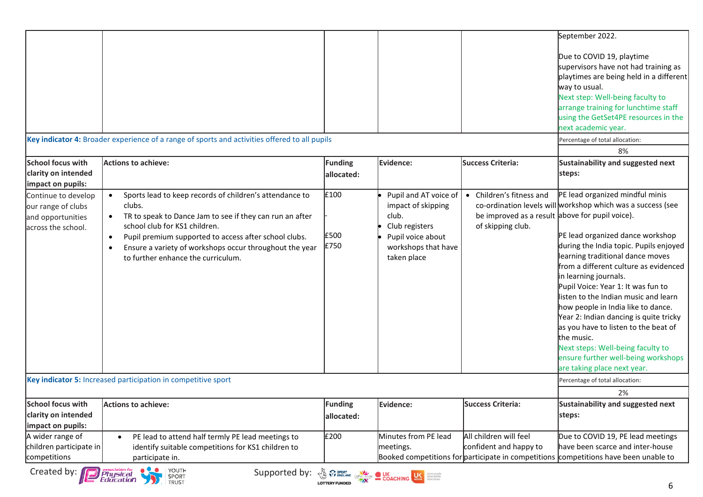|                                                                                      | Key indicator 4: Broader experience of a range of sports and activities offered to all pupils                                                                                                                                                                                                                                                                   |                              |                                                                                                                                   |                                                                                                  | September 2022.<br>Due to COVID 19, playtime<br>supervisors have not had training as<br>playtimes are being held in a different<br>way to usual.<br>Next step: Well-being faculty to<br>arrange training for lunchtime staff<br>using the GetSet4PE resources in the<br>next academic year.<br>Percentage of total allocation:                                                                                                                                                                                                                                                                                    |
|--------------------------------------------------------------------------------------|-----------------------------------------------------------------------------------------------------------------------------------------------------------------------------------------------------------------------------------------------------------------------------------------------------------------------------------------------------------------|------------------------------|-----------------------------------------------------------------------------------------------------------------------------------|--------------------------------------------------------------------------------------------------|-------------------------------------------------------------------------------------------------------------------------------------------------------------------------------------------------------------------------------------------------------------------------------------------------------------------------------------------------------------------------------------------------------------------------------------------------------------------------------------------------------------------------------------------------------------------------------------------------------------------|
|                                                                                      |                                                                                                                                                                                                                                                                                                                                                                 |                              |                                                                                                                                   |                                                                                                  | 8%                                                                                                                                                                                                                                                                                                                                                                                                                                                                                                                                                                                                                |
| School focus with<br>clarity on intended<br>impact on pupils:                        | <b>Actions to achieve:</b>                                                                                                                                                                                                                                                                                                                                      | <b>Funding</b><br>allocated: | Evidence:                                                                                                                         | <b>Success Criteria:</b>                                                                         | Sustainability and suggested next<br>steps:                                                                                                                                                                                                                                                                                                                                                                                                                                                                                                                                                                       |
| Continue to develop<br>our range of clubs<br>and opportunities<br>across the school. | Sports lead to keep records of children's attendance to<br>$\bullet$<br>clubs.<br>TR to speak to Dance Jam to see if they can run an after<br>school club for KS1 children.<br>Pupil premium supported to access after school clubs.<br>$\bullet$<br>Ensure a variety of workshops occur throughout the year<br>$\bullet$<br>to further enhance the curriculum. | £100<br>£500<br>£750         | Pupil and AT voice of<br>impact of skipping<br>club.<br>Club registers<br>Pupil voice about<br>workshops that have<br>taken place | • Children's fitness and<br>be improved as a result above for pupil voice).<br>of skipping club. | PE lead organized mindful minis<br>co-ordination levels will workshop which was a success (see<br>PE lead organized dance workshop<br>during the India topic. Pupils enjoyed<br>learning traditional dance moves<br>from a different culture as evidenced<br>in learning journals.<br>Pupil Voice: Year 1: It was fun to<br>listen to the Indian music and learn<br>how people in India like to dance.<br>Year 2: Indian dancing is quite tricky<br>as you have to listen to the beat of<br>the music.<br>Next steps: Well-being faculty to<br>ensure further well-being workshops<br>are taking place next year. |
|                                                                                      | Key indicator 5: Increased participation in competitive sport                                                                                                                                                                                                                                                                                                   |                              |                                                                                                                                   |                                                                                                  | Percentage of total allocation:                                                                                                                                                                                                                                                                                                                                                                                                                                                                                                                                                                                   |
|                                                                                      |                                                                                                                                                                                                                                                                                                                                                                 |                              |                                                                                                                                   |                                                                                                  | 2%                                                                                                                                                                                                                                                                                                                                                                                                                                                                                                                                                                                                                |
| <b>School focus with</b>                                                             | Actions to achieve:                                                                                                                                                                                                                                                                                                                                             | <b>Funding</b>               | Evidence:                                                                                                                         | <b>Success Criteria:</b>                                                                         | Sustainability and suggested next                                                                                                                                                                                                                                                                                                                                                                                                                                                                                                                                                                                 |
| clarity on intended<br>impact on pupils:                                             |                                                                                                                                                                                                                                                                                                                                                                 | allocated:                   |                                                                                                                                   |                                                                                                  | steps:                                                                                                                                                                                                                                                                                                                                                                                                                                                                                                                                                                                                            |
| A wider range of<br>children participate in<br>competitions                          | PE lead to attend half termly PE lead meetings to<br>identify suitable competitions for KS1 children to<br>participate in.                                                                                                                                                                                                                                      | £200                         | Minutes from PE lead<br>meetings.                                                                                                 | All children will feel<br>confident and happy to                                                 | Due to COVID 19, PE lead meetings<br>have been scarce and inter-house<br>Booked competitions for participate in competitions competitions have been unable to                                                                                                                                                                                                                                                                                                                                                                                                                                                     |
| Created by:                                                                          | <b>P</b> Physical<br>Education<br>  YOUTH<br>Supported by: $\frac{1}{\sqrt{6}}$ $\frac{1}{\sqrt{6}}$ $\frac{1}{\sqrt{6}}$ $\frac{1}{\sqrt{6}}$ $\frac{1}{\sqrt{6}}$ $\frac{1}{\sqrt{6}}$ $\frac{1}{\sqrt{6}}$ $\frac{1}{\sqrt{6}}$<br>SPORT TRUST                                                                                                               |                              |                                                                                                                                   |                                                                                                  |                                                                                                                                                                                                                                                                                                                                                                                                                                                                                                                                                                                                                   |